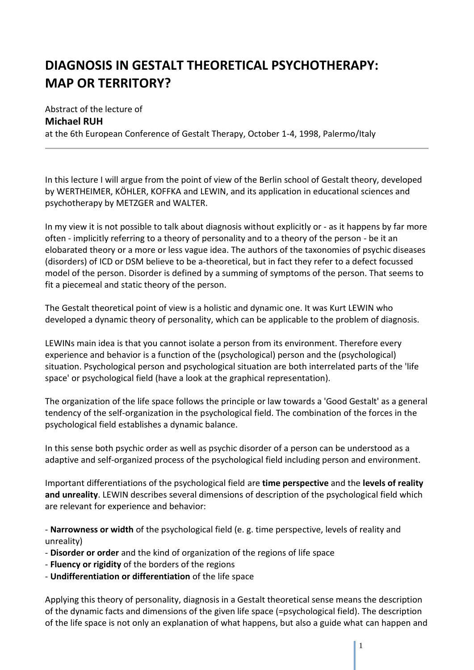## **DIAGNOSIS IN GESTALT THEORETICAL PSYCHOTHERAPY: MAP OR TERRITORY?**

Abstract of the lecture of **Michael RUH** at the 6th European Conference of Gestalt Therapy, October 1-4, 1998, Palermo/Italy

In this lecture I will argue from the point of view of the Berlin school of Gestalt theory, developed by WERTHEIMER, KÖHLER, KOFFKA and LEWIN, and its application in educational sciences and psychotherapy by METZGER and WALTER.

In my view it is not possible to talk about diagnosis without explicitly or - as it happens by far more often - implicitly referring to a theory of personality and to a theory of the person - be it an elobarated theory or a more or less vague idea. The authors of the taxonomies of psychic diseases (disorders) of ICD or DSM believe to be a-theoretical, but in fact they refer to a defect focussed model of the person. Disorder is defined by a summing of symptoms of the person. That seems to fit a piecemeal and static theory of the person.

The Gestalt theoretical point of view is a holistic and dynamic one. It was Kurt LEWIN who developed a dynamic theory of personality, which can be applicable to the problem of diagnosis.

LEWINs main idea is that you cannot isolate a person from its environment. Therefore every experience and behavior is a function of the (psychological) person and the (psychological) situation. Psychological person and psychological situation are both interrelated parts of the 'life space' or psychological field (have a look at the graphical representation).

The organization of the life space follows the principle or law towards a 'Good Gestalt' as a general tendency of the self-organization in the psychological field. The combination of the forces in the psychological field establishes a dynamic balance.

In this sense both psychic order as well as psychic disorder of a person can be understood as a adaptive and self-organized process of the psychological field including person and environment.

Important differentiations of the psychological field are **time perspective** and the **levels of reality and unreality**. LEWIN describes several dimensions of description of the psychological field which are relevant for experience and behavior:

- **Narrowness or width** of the psychological field (e. g. time perspective, levels of reality and unreality)

- **Disorder or order** and the kind of organization of the regions of life space
- **Fluency or rigidity** of the borders of the regions
- **Undifferentiation or differentiation** of the life space

Applying this theory of personality, diagnosis in a Gestalt theoretical sense means the description of the dynamic facts and dimensions of the given life space (=psychological field). The description of the life space is not only an explanation of what happens, but also a guide what can happen and